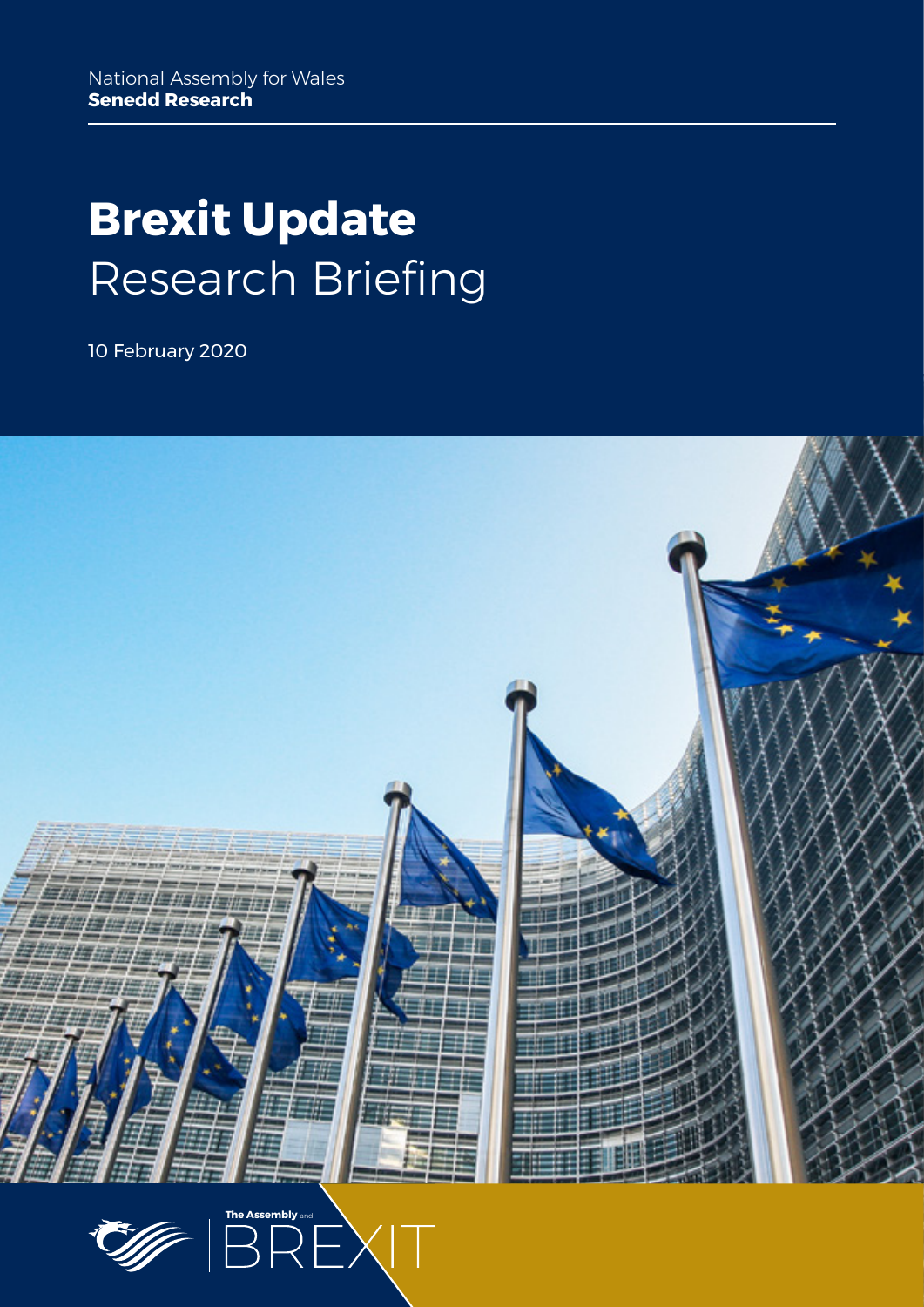# **Brexit Update** Research Briefing

10 February 2020



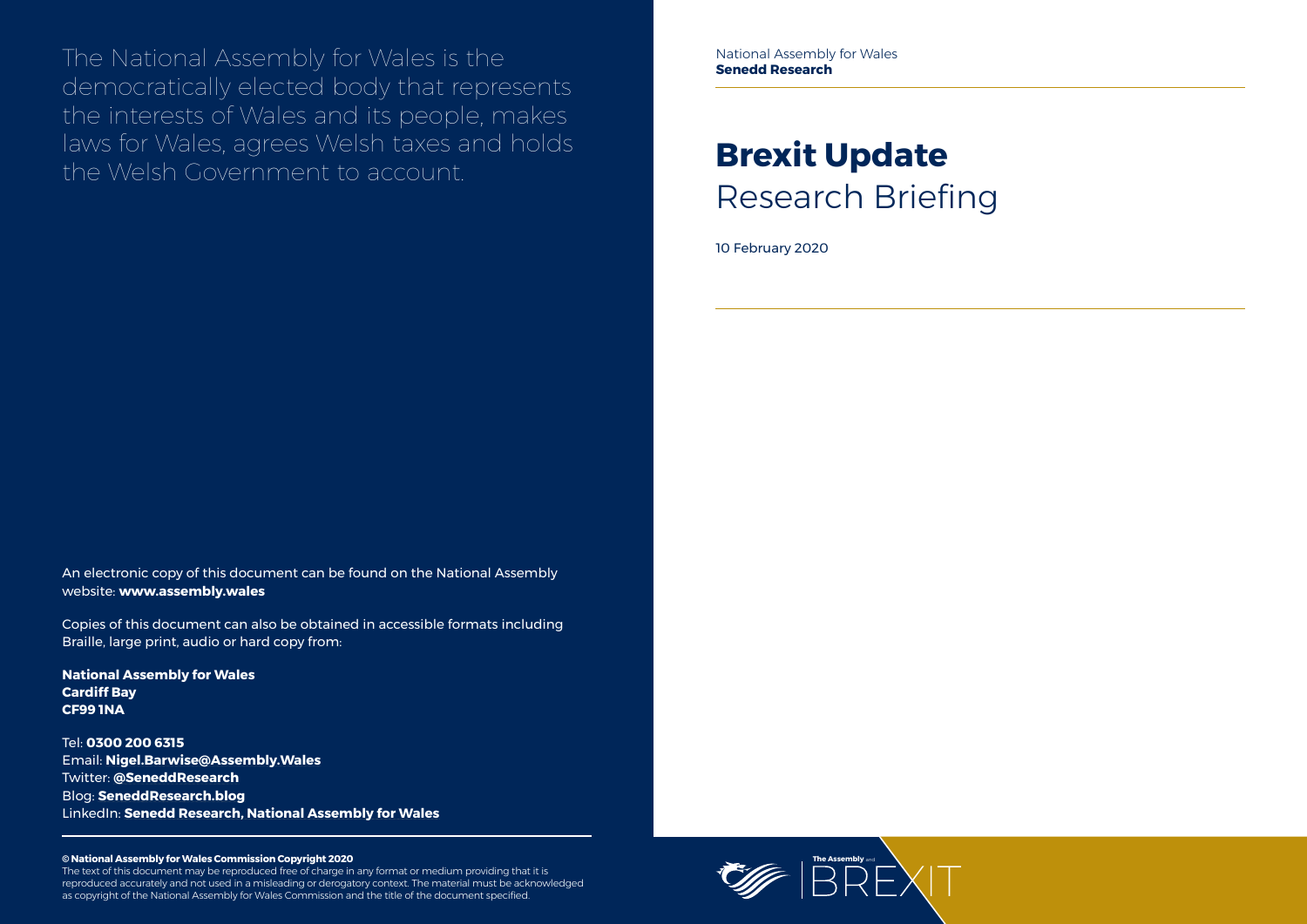

The National Assembly for Wales is the democratically elected body that represents the interests of Wales and its people, makes laws for Wales, agrees Welsh taxes and holds the Welsh Government to account.

#### **© National Assembly for Wales Commission Copyright 2020**

The text of this document may be reproduced free of charge in any format or medium providing that it is reproduced accurately and not used in a misleading or derogatory context. The material must be acknowledged as copyright of the National Assembly for Wales Commission and the title of the document specified.

# **Brexit Update** Research Briefing

10 February 2020

An electronic copy of this document can be found on the National Assembly website: **www.assembly.wales**

Copies of this document can also be obtained in accessible formats including Braille, large print, audio or hard copy from:

**National Assembly for Wales Cardiff Bay CF99 1NA**

Tel: **0300 200 6315** Email: **[Nigel.Barwise@Assembly.Wales](mailto:Nigel.Barwise%40Assembly.Wales?subject=)** Twitter: **[@SeneddResearch](http://www.twitter.com/@SeneddResearch)** Blog: **[SeneddResearch.blog](http://SeneddResearch.blog)** LinkedIn: **Senedd Research, National Assembly for Wales** National Assembly for Wales **Senedd Research**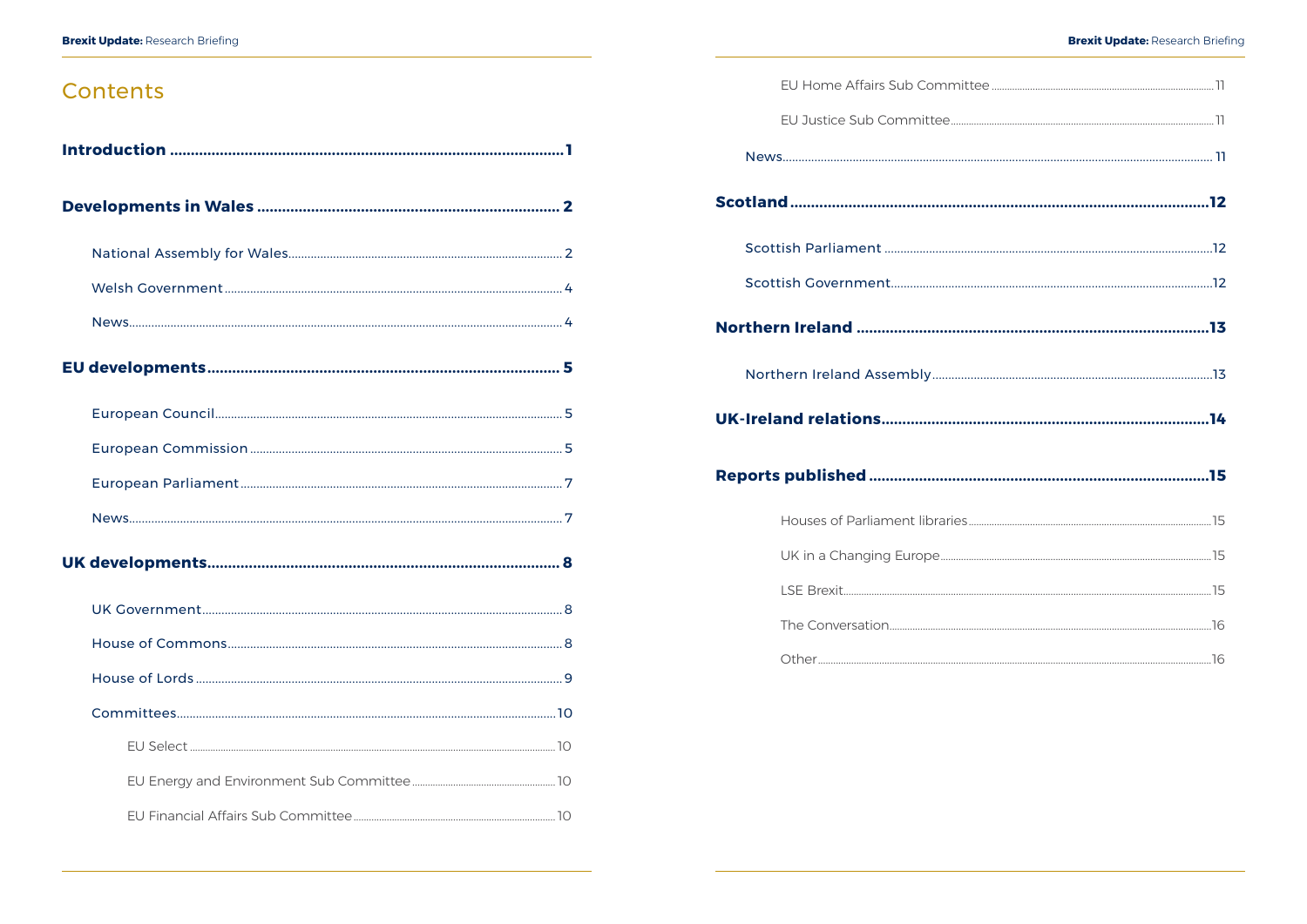## Contents

#### **Brexit Update: Research Briefing**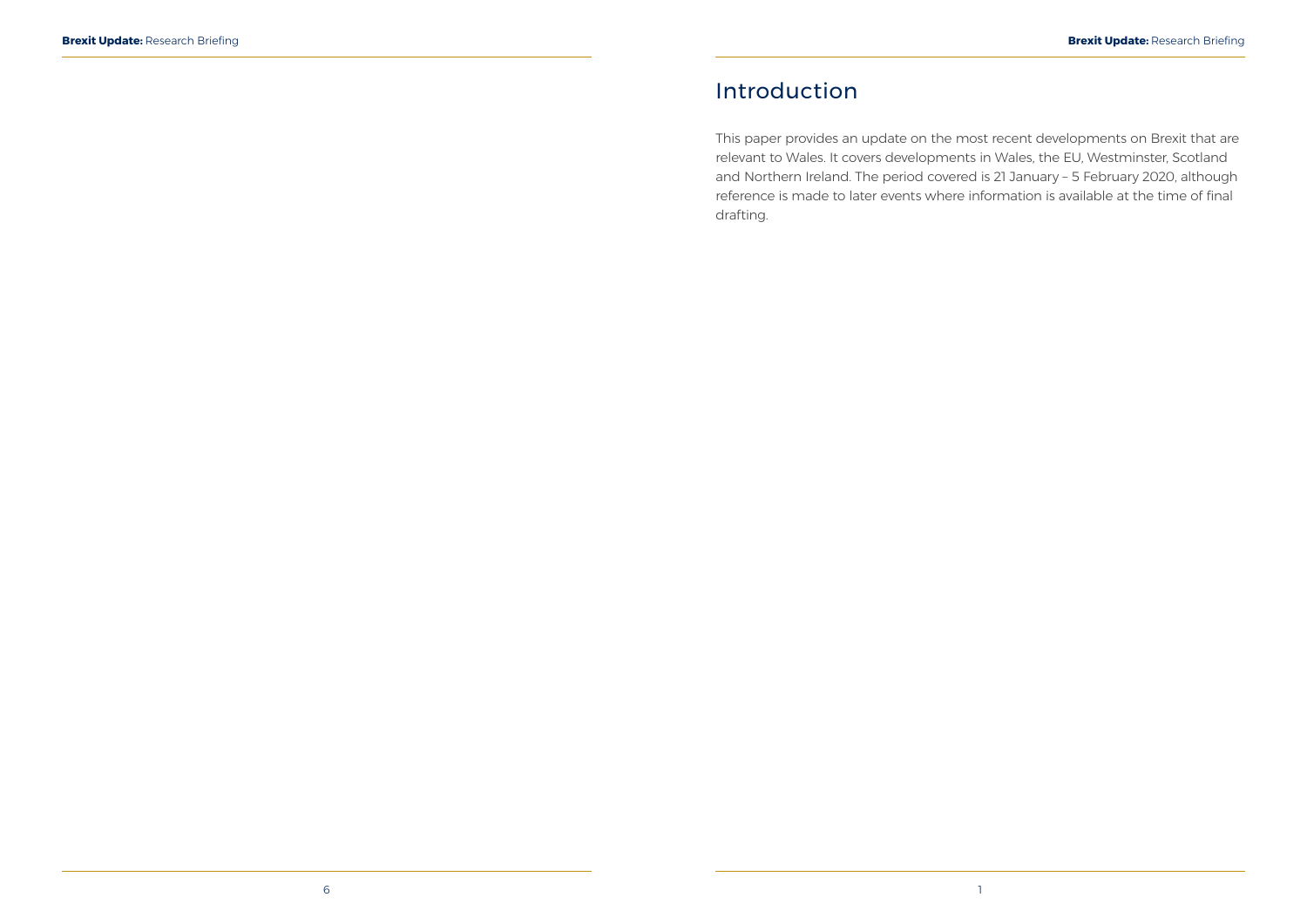## <span id="page-3-0"></span>Introduction

This paper provides an update on the most recent developments on Brexit that are relevant to Wales. It covers developments in Wales, the EU, Westminster, Scotland and Northern Ireland. The period covered is 21 January – 5 February 2020, although reference is made to later events where information is available at the time of final drafting.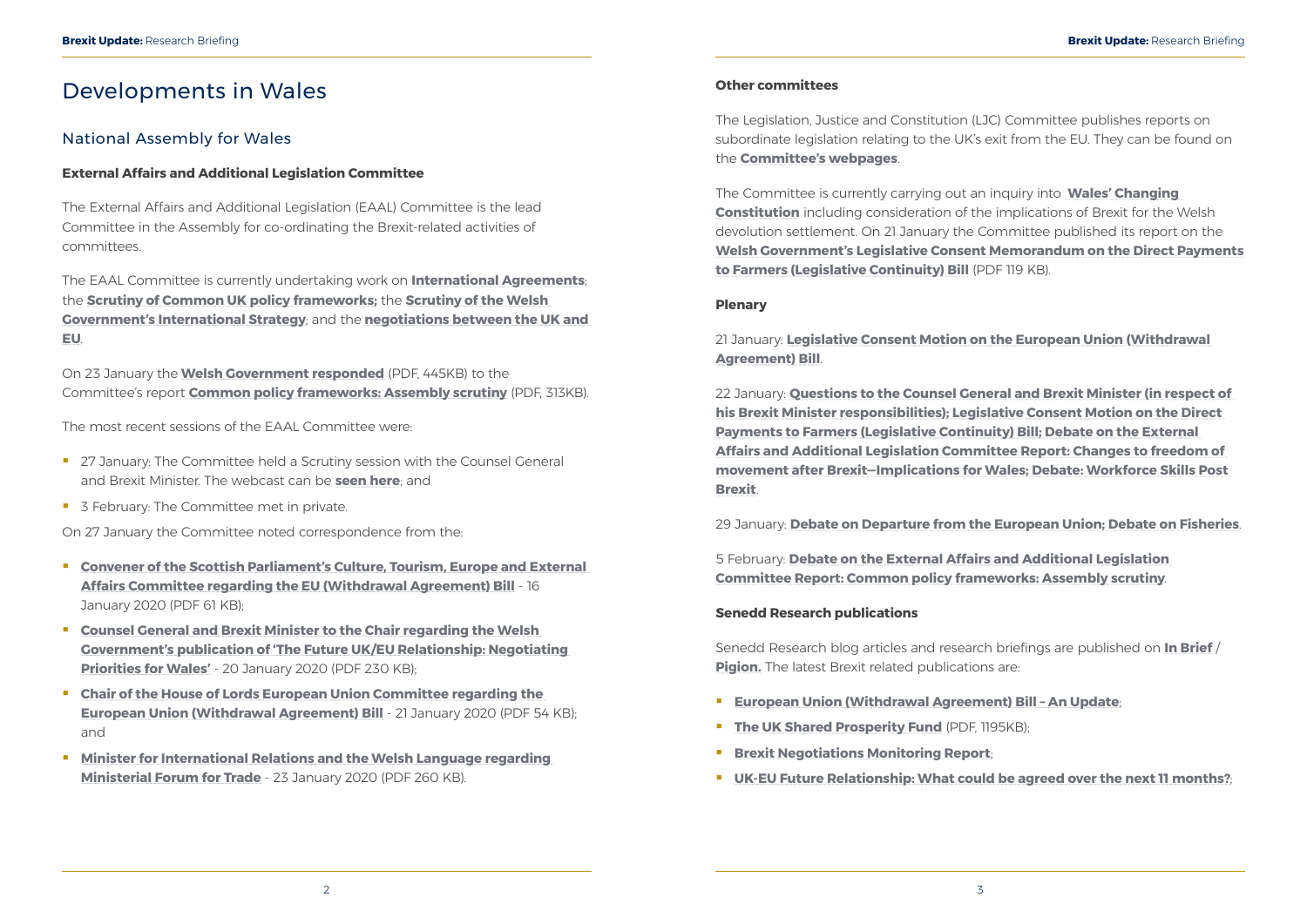## <span id="page-4-0"></span>Developments in Wales

### National Assembly for Wales

#### **External Affairs and Additional Legislation Committee**

The External Affairs and Additional Legislation (EAAL) Committee is the lead Committee in the Assembly for co-ordinating the Brexit-related activities of committees.

The EAAL Committee is currently undertaking work on **[International Agreements](http://senedd.assembly.wales/mgIssueHistoryHome.aspx?IId=25276)**; the **[Scrutiny of Common UK policy frameworks;](http://senedd.assembly.wales/mgIssueHistoryHome.aspx?IId=23807)** the **[Scrutiny of the Welsh](http://senedd.assembly.wales/mgIssueHistoryHome.aspx?IId=26987)  [Government's International Strategy](http://senedd.assembly.wales/mgIssueHistoryHome.aspx?IId=26987)**; and the **[negotiations between the UK and](http://senedd.assembly.wales/mgIssueHistoryHome.aspx?IId=19466)  [EU](http://senedd.assembly.wales/mgIssueHistoryHome.aspx?IId=19466)**.

On 23 January the **[Welsh Government responded](https://www.assembly.wales/laid%20documents/gen-ld12989/gen-ld12989%20-e.pdf)** (PDF, 445KB) to the Committee's report **[Common policy frameworks: Assembly scrutiny](https://www.assembly.wales/laid%20documents/cr-ld12915/cr-ld12915%20-e.pdf)** (PDF, 313KB).

The most recent sessions of the EAAL Committee were:

- <sup>27</sup> January: The Committee held a Scrutiny session with the Counsel General and Brexit Minister. The webcast can be **[seen here](http://www.senedd.tv/Meeting/Archive/c27da320-11fb-43b9-814d-5e3bef436051?autostart=True)**; and
- 3 February: The Committee met in private.

On 27 January the Committee noted correspondence from the:

- **[Convener of the Scottish Parliament's Culture, Tourism, Europe and External](http://senedd.assembly.wales/documents/s97808/Correspondence%20from%20the%20Convener%20of%20the%20Scottish%20Parliaments%20Culture%20Tourism%20Europe%20and%20External%20.pdf)  [Affairs Committee regarding the EU \(Withdrawal Agreement\) Bill](http://senedd.assembly.wales/documents/s97808/Correspondence%20from%20the%20Convener%20of%20the%20Scottish%20Parliaments%20Culture%20Tourism%20Europe%20and%20External%20.pdf)** - 16 January 2020 (PDF 61 KB);
- **[Counsel General and Brexit Minister to the Chair regarding the Welsh](http://senedd.assembly.wales/documents/s97809/Correspondence%20from%20the%20Counsel%20General%20and%20Brexit%20Minister%20to%20the%20Chair%20regarding%20the%20Welsh%20Governm.pdf)  [Government's publication of 'The Future UK/EU Relationship: Negotiating](http://senedd.assembly.wales/documents/s97809/Correspondence%20from%20the%20Counsel%20General%20and%20Brexit%20Minister%20to%20the%20Chair%20regarding%20the%20Welsh%20Governm.pdf)  [Priorities for Wales'](http://senedd.assembly.wales/documents/s97809/Correspondence%20from%20the%20Counsel%20General%20and%20Brexit%20Minister%20to%20the%20Chair%20regarding%20the%20Welsh%20Governm.pdf)** - 20 January 2020 (PDF 230 KB);
- **[Chair of the House of Lords European Union Committee regarding the](http://senedd.assembly.wales/documents/s97880/Correspondence%20from%20the%20Chair%20of%20the%20House%20of%20Lords%20European%20Union%20Committee%20to%20the%20Chair%20regarding%20.pdf)  [European Union \(Withdrawal Agreement\) Bill](http://senedd.assembly.wales/documents/s97880/Correspondence%20from%20the%20Chair%20of%20the%20House%20of%20Lords%20European%20Union%20Committee%20to%20the%20Chair%20regarding%20.pdf)** - 21 January 2020 (PDF 54 KB); and
- **Minister for International Relations and the Welsh Language regarding [Ministerial Forum for Trade](http://senedd.assembly.wales/documents/s97987/Correspondence%20from%20the%20Minister%20for%20International%20Relations%20and%20the%20Welsh%20Language%20to%20the%20Chair%20reg.pdf)** - 23 January 2020 (PDF 260 KB).

Senedd Research blog articles and research briefings are published on **[In Brief](https://assemblyinbrief.wordpress.com/)** / **[Pigion.](https://seneddymchwil.blog/)** The latest Brexit related publications are:

#### **Other committees**

The Legislation, Justice and Constitution (LJC) Committee publishes reports on subordinate legislation relating to the UK's exit from the EU. They can be found on the **[Committee's webpages](http://senedd.assembly.wales/mgIssueHistoryHome.aspx?IId=20735)**.

The Committee is currently carrying out an inquiry into **[Wales' Changing](http://www.senedd.assembly.wales/mgIssueHistoryHome.aspx?IId=25963)  [Constitution](http://www.senedd.assembly.wales/mgIssueHistoryHome.aspx?IId=25963)** including consideration of the implications of Brexit for the Welsh devolution settlement. On 21 January the Committee published its report on the **[Welsh Government's Legislative Consent Memorandum on the Direct Payments](https://www.assembly.wales/laid%20documents/cr-ld12975/cr-ld12975%20-e.pdf)  [to Farmers \(Legislative Continuity\) Bill](https://www.assembly.wales/laid%20documents/cr-ld12975/cr-ld12975%20-e.pdf)** (PDF 119 KB).

#### **Plenary**

21 January: **[Legislative Consent Motion on the European Union \(Withdrawal](https://record.assembly.wales/Plenary/6075)  [Agreement\) Bill](https://record.assembly.wales/Plenary/6075)**.

22 January: **[Questions to the Counsel General and Brexit Minister \(in respect of](https://record.assembly.wales/Plenary/6076)  [his Brexit Minister responsibilities\); Legislative Consent Motion on the Direct](https://record.assembly.wales/Plenary/6076)  [Payments to Farmers \(Legislative Continuity\) Bill; Debate on the External](https://record.assembly.wales/Plenary/6076)  [Affairs and Additional Legislation Committee Report: Changes to freedom of](https://record.assembly.wales/Plenary/6076)  [movement after Brexit—Implications for Wales; Debate: Workforce Skills Post](https://record.assembly.wales/Plenary/6076)  [Brexit](https://record.assembly.wales/Plenary/6076)**.

29 January: **[Debate on Departure from the European Union; Debate on Fisheries](https://record.assembly.wales/Plenary/6078)**.

5 February: **[Debate on the External Affairs and Additional Legislation](https://record.assembly.wales/Plenary/6080)  [Committee Report: Common policy frameworks: Assembly scrutiny](https://record.assembly.wales/Plenary/6080)**.

#### **Senedd Research publications**

- **[European Union \(Withdrawal Agreement\) Bill An Update](https://seneddresearch.blog/2020/01/21/european-union-withdrawal-agreement-bill-an-update/)**;
- **[The UK Shared Prosperity Fund](https://www.assembly.wales/Research%20Documents/20-040-Prosperity%20Fund/20-04-web-eng.pdf)** (PDF, 1195KB);
- **[Brexit Negotiations Monitoring Report](https://seneddresearch.blog/2020/01/29/brexit-negotiations-monitoring-report-21/);**
- **[UK-EU Future Relationship: What could be agreed over the next 11 months?](https://seneddresearch.blog/2020/02/03/uk-eu-future-relationship-what-could-be-agreed-over-the-next-11-months/)**;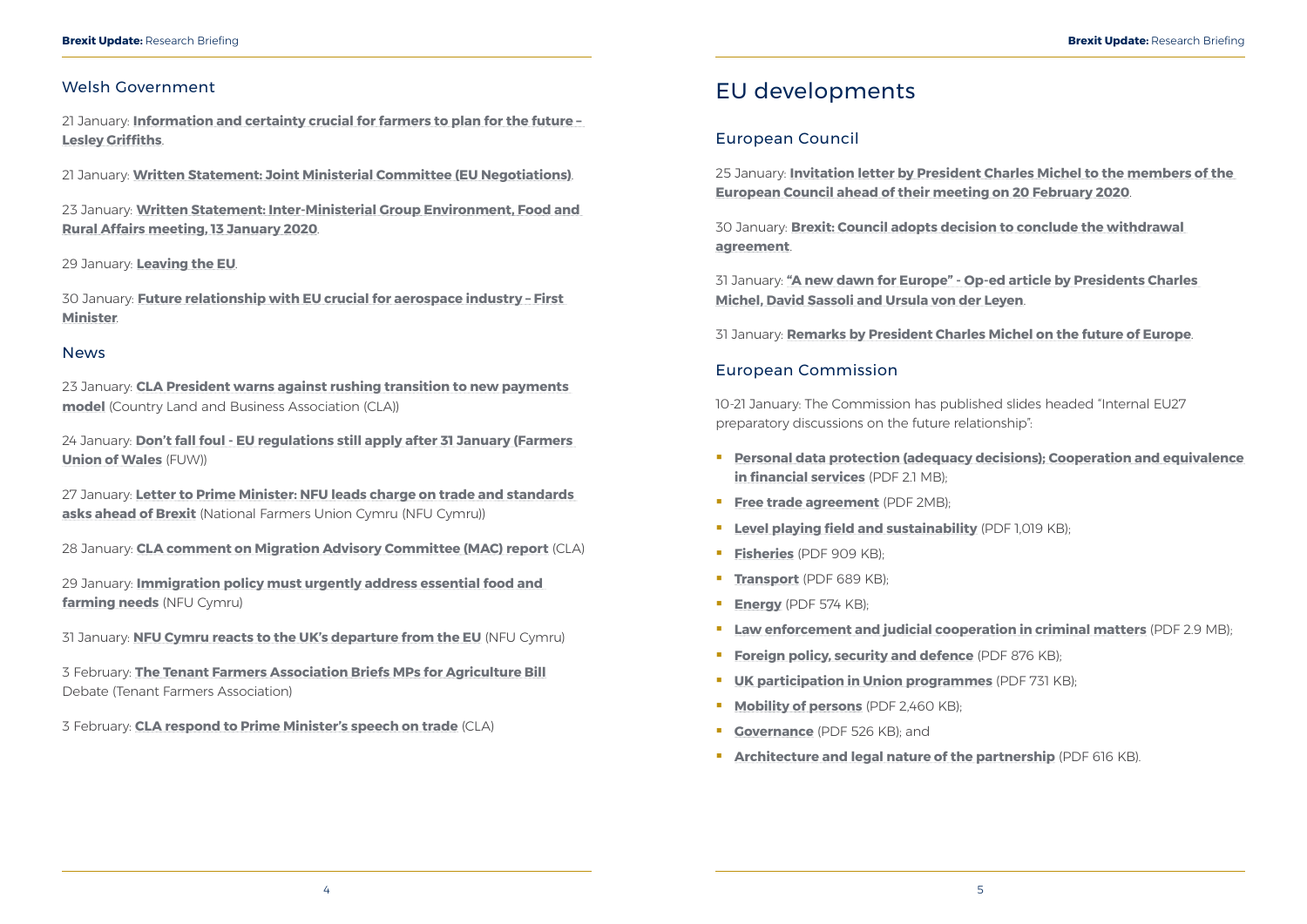#### <span id="page-5-0"></span>Welsh Government

21 January: **[Information and certainty crucial for farmers to plan for the future –](https://gov.wales/information-and-certainty-crucial-farmers-plan-future-lesley-griffiths)  [Lesley Griffiths](https://gov.wales/information-and-certainty-crucial-farmers-plan-future-lesley-griffiths)**.

21 January: **[Written Statement: Joint Ministerial Committee \(EU Negotiations\)](https://gov.wales/written-statement-joint-ministerial-committee-eu-negotiations-0)**.

23 January: **[Written Statement: Inter-Ministerial Group Environment, Food and](https://gov.wales/written-statement-inter-ministerial-group-environment-food-and-rural-affairs-meeting-13-january)  [Rural Affairs meeting, 13 January 2020](https://gov.wales/written-statement-inter-ministerial-group-environment-food-and-rural-affairs-meeting-13-january)**.

27 January: **[Letter to Prime Minister: NFU leads charge on trade and standards](https://www.nfu-cymru.org.uk/news/latest-news/letter-to-prime-minister-nfu-leads-charge-on-trade-and-standards-asks-ahead-of-brexit/)  [asks ahead of Brexit](https://www.nfu-cymru.org.uk/news/latest-news/letter-to-prime-minister-nfu-leads-charge-on-trade-and-standards-asks-ahead-of-brexit/)** (National Farmers Union Cymru (NFU Cymru))

29 January: **[Leaving the EU](https://gov.wales/leaving-the-eu)**.

30 January: **[Future relationship with EU crucial for aerospace industry – First](https://gov.wales/future-relationship-eu-crucial-aerospace-industry-first-minister)  [Minister](https://gov.wales/future-relationship-eu-crucial-aerospace-industry-first-minister)**.

#### News

23 January: **[CLA President warns against rushing transition to new payments](https://www.cla.org.uk/cla-president-warns-against-rushing-transition-new-payments-model)  [model](https://www.cla.org.uk/cla-president-warns-against-rushing-transition-new-payments-model)** (Country Land and Business Association (CLA))

24 January: **[Don't fall foul - EU regulations still apply after 31 January \(Farmers](https://fuw.org.uk/en/news/13768-don-t-fall-foul-eu-regulations-still-apply-after-31-january)  [Union of Wales](https://fuw.org.uk/en/news/13768-don-t-fall-foul-eu-regulations-still-apply-after-31-january)** (FUW))

28 January: **[CLA comment on Migration Advisory Committee \(MAC\) report](https://www.cla.org.uk/cla-comment-migration-advisory-committee-mac-report)** (CLA)

- **[Personal data protection \(adequacy decisions\); Cooperation and equivalence](https://ec.europa.eu/commission/sites/beta-political/files/seminar_20200110_-_data_protection_adequacy_-_financial_services_en.pdf)  [in financial services](https://ec.europa.eu/commission/sites/beta-political/files/seminar_20200110_-_data_protection_adequacy_-_financial_services_en.pdf)** (PDF 2.1 MB);
- **[Free trade agreement](https://ec.europa.eu/commission/sites/beta-political/files/seminar-20200113-fta_en_0.pdf)** (PDF 2MB);
- **[Level playing field and sustainability](https://ec.europa.eu/commission/sites/beta-political/files/seminar-20200114-lpf_en.pdf)** (PDF 1,019 KB);
- **[Fisheries](https://ec.europa.eu/commission/sites/beta-political/files/seminar-20200114-fisheries.pdf)** (PDF 909 KB);
- **[Transport](https://ec.europa.eu/commission/sites/beta-political/files/seminar-20200115-transport_en.pdf)** (PDF 689 KB);
- **[Energy](https://ec.europa.eu/commission/sites/beta-political/files/seminar-20200115-energy_en.pdf)** (PDF 574 KB);
- **[Law enforcement and judicial cooperation in criminal matters](https://ec.europa.eu/commission/sites/beta-political/files/seminar-20200116-lawenf_en.pdf)** (PDF 2.9 MB);
- **[Foreign policy, security and defence](https://ec.europa.eu/commission/sites/beta-political/files/seminar-20200117-_forpolsecdef_en.pdf)** (PDF 876 KB);
- **[UK participation in Union programmes](https://ec.europa.eu/commission/sites/beta-political/files/seminar-20200120-programmes_en.pdf)** (PDF 731 KB);
- **[Mobility of persons](https://ec.europa.eu/commission/sites/beta-political/files/seminar-20200120-mobility_en.pdf)** (PDF 2.460 KB):
- **[Governance](https://ec.europa.eu/commission/sites/beta-political/files/seminar-20200120-governance_en.pdf)** (PDF 526 KB); and
- **[Architecture and legal nature of the partnership](https://ec.europa.eu/commission/sites/beta-political/files/seminar-20200121-legnat_en.pdf)** (PDF 616 KB).

29 January: **[Immigration policy must urgently address essential food and](https://www.nfu-cymru.org.uk/news/latest-news/immigration-policy-must-address-essential-food-and/)  [farming needs](https://www.nfu-cymru.org.uk/news/latest-news/immigration-policy-must-address-essential-food-and/)** (NFU Cymru)

31 January: **[NFU Cymru reacts to the UK's departure from the EU](https://www.nfu-cymru.org.uk/news/latest-news/nfu-cymru-reacts-to-the-uks-departure-from-the-eu/)** (NFU Cymru)

3 February: **[The Tenant Farmers Association Briefs MPs for Agriculture Bill](https://www.tfa.org.uk/tfa-media-realease-mr20-06-the-tenant-farmers-association-briefs-mps-for-agriculture-bill-debate/)** Debate (Tenant Farmers Association)

3 February: **[CLA respond to Prime Minister's speech on trade](https://www.cla.org.uk/node/14378)** (CLA)

## EU developments

### European Council

25 January: **[Invitation letter by President Charles Michel to the members of the](https://www.consilium.europa.eu/en/press/press-releases/2020/01/25/invitation-letter-by-president-charles-michel-to-the-members-of-the-european-council-ahead-of-their-meeting-on-20-february-2020/)  [European Council ahead of their meeting on 20 February 2020](https://www.consilium.europa.eu/en/press/press-releases/2020/01/25/invitation-letter-by-president-charles-michel-to-the-members-of-the-european-council-ahead-of-their-meeting-on-20-february-2020/)**.

30 January: **[Brexit: Council adopts decision to conclude the withdrawal](https://www.consilium.europa.eu/en/press/press-releases/2020/01/30/brexit-council-adopts-decision-to-conclude-the-withdrawal-agreement/)  [agreement](https://www.consilium.europa.eu/en/press/press-releases/2020/01/30/brexit-council-adopts-decision-to-conclude-the-withdrawal-agreement/)**.

31 January: **["A new dawn for Europe" - Op-ed article by Presidents Charles](https://www.consilium.europa.eu/en/press/press-releases/2020/01/31/a-new-dawn-for-europe-op-ed-article-by-presidents-charles-michel-david-sassoli-and-ursula-von-der-leyen/)  [Michel, David Sassoli and Ursula von der Leyen](https://www.consilium.europa.eu/en/press/press-releases/2020/01/31/a-new-dawn-for-europe-op-ed-article-by-presidents-charles-michel-david-sassoli-and-ursula-von-der-leyen/)**.

31 January: **[Remarks by President Charles Michel on the future of Europe](https://www.consilium.europa.eu/en/press/press-releases/2020/01/31/statement-by-president-charles-michel-on-the-future-of-europe/)**.

### European Commission

10-21 January: The Commission has published slides headed "Internal EU27 preparatory discussions on the future relationship":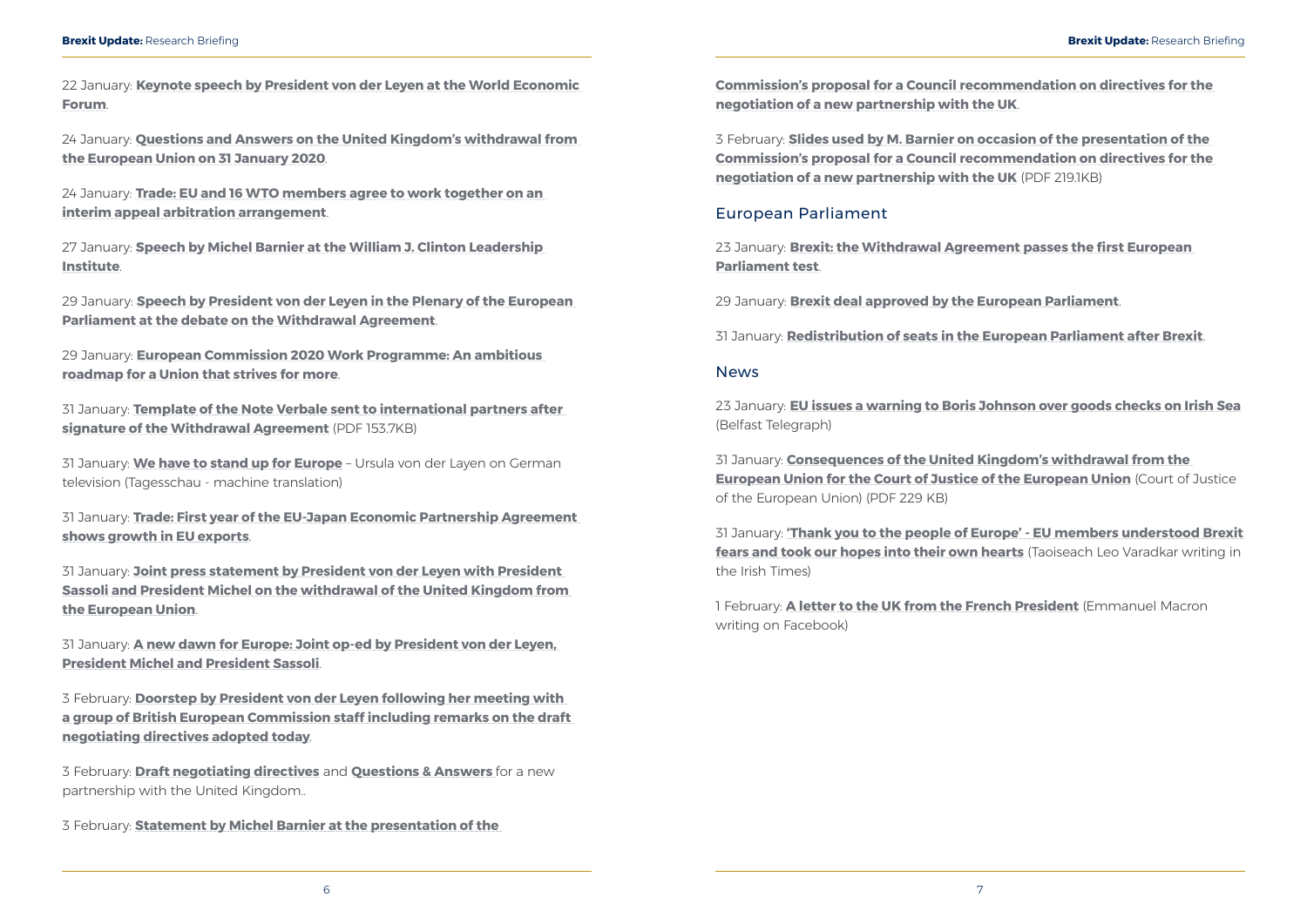<span id="page-6-0"></span>22 January: **[Keynote speech by President von der Leyen at the World Economic](https://ec.europa.eu/commission/presscorner/detail/en/speech_20_102)  [Forum](https://ec.europa.eu/commission/presscorner/detail/en/speech_20_102)**.

24 January: **[Questions and Answers on the United Kingdom's withdrawal from](https://ec.europa.eu/commission/presscorner/detail/en/qanda_20_104)  [the European Union on 31 January 2020](https://ec.europa.eu/commission/presscorner/detail/en/qanda_20_104)**.

24 January: **[Trade: EU and 16 WTO members agree to work together on an](https://ec.europa.eu/commission/presscorner/detail/en/ip_20_113)  [interim appeal arbitration arrangement](https://ec.europa.eu/commission/presscorner/detail/en/ip_20_113)**.

27 January: **[Speech by Michel Barnier at the William J. Clinton Leadership](https://ec.europa.eu/commission/presscorner/detail/en/speech_20_133)  [Institute](https://ec.europa.eu/commission/presscorner/detail/en/speech_20_133)**.

29 January: **[Speech by President von der Leyen in the Plenary of the European](https://ec.europa.eu/commission/presscorner/detail/en/speech_20_140)  [Parliament at the debate on the Withdrawal Agreement](https://ec.europa.eu/commission/presscorner/detail/en/speech_20_140)**.

29 January: **[European Commission 2020 Work Programme: An ambitious](https://ec.europa.eu/commission/presscorner/detail/en/ip_20_124)  [roadmap for a Union that strives for more](https://ec.europa.eu/commission/presscorner/detail/en/ip_20_124)**.

31 January: **[Template of the Note Verbale sent to international partners after](https://ec.europa.eu/commission/sites/beta-political/files/template-note-verbale-international-partners-after-signature-withdrawal-agreement.pdf)  [signature of the Withdrawal Agreement](https://ec.europa.eu/commission/sites/beta-political/files/template-note-verbale-international-partners-after-signature-withdrawal-agreement.pdf)** (PDF 153.7KB)

31 January: **[We have to stand up for Europe](https://translate.google.co.uk/translate?sl=de&tl=en&u=https%3A%2F%2Fwww.tagesschau.de%2Fausland%2Fbrexit-eu-vonderleyen-101.html)** – Ursula von der Layen on German television (Tagesschau - machine translation)

31 January: **[Trade: First year of the EU-Japan Economic Partnership Agreement](https://ec.europa.eu/commission/presscorner/detail/en/ip_20_161)  [shows growth in EU exports](https://ec.europa.eu/commission/presscorner/detail/en/ip_20_161)**.

31 January: **[Joint press statement by President von der Leyen with President](https://ec.europa.eu/commission/presscorner/detail/en/speech_20_169)  [Sassoli and President Michel on the withdrawal of the United Kingdom from](https://ec.europa.eu/commission/presscorner/detail/en/speech_20_169)  [the European Union](https://ec.europa.eu/commission/presscorner/detail/en/speech_20_169)**.

31 January: **[A new dawn for Europe: Joint op-ed by President von der Leyen,](https://ec.europa.eu/commission/presscorner/detail/en/ac_20_162)  [President Michel and President Sassoli](https://ec.europa.eu/commission/presscorner/detail/en/ac_20_162)**.

3 February: **[Doorstep by President von der Leyen following her meeting with](https://ec.europa.eu/commission/presscorner/detail/en/SPEECH_20_188)  [a group of British European Commission staff including remarks on the draft](https://ec.europa.eu/commission/presscorner/detail/en/SPEECH_20_188)  [negotiating directives adopted today](https://ec.europa.eu/commission/presscorner/detail/en/SPEECH_20_188)**.

3 February: **[Draft negotiating directives](https://ec.europa.eu/info/sites/info/files/communication-annex-negotiating-directives.pdf)** and **[Questions & Answers](https://ec.europa.eu/commission/presscorner/detail/en/qanda_20_179)** for a new partnership with the United Kingdom..

3 February: **[Statement by Michel Barnier at the presentation of the](https://ec.europa.eu/commission/presscorner/detail/en/speech_20_185)** 

**[Commission's proposal for a Council recommendation on directives for the](https://ec.europa.eu/commission/presscorner/detail/en/speech_20_185)  [negotiation of a new partnership with the UK](https://ec.europa.eu/commission/presscorner/detail/en/speech_20_185)**.

3 February: **[Slides used by M. Barnier on occasion of the presentation of the](https://ec.europa.eu/info/sites/info/files/press-conference-slides.pdf)  [Commission's proposal for a Council recommendation on directives for the](https://ec.europa.eu/info/sites/info/files/press-conference-slides.pdf)  [negotiation of a new partnership with the UK](https://ec.europa.eu/info/sites/info/files/press-conference-slides.pdf)** (PDF 219.1KB)

### European Parliament

23 January: **[Brexit: the Withdrawal Agreement passes the first European](https://www.europarl.europa.eu/news/en/press-room/20200123IPR70904/brexit-the-withdrawal-agreement-passes-the-first-european-parliament-test)  [Parliament test](https://www.europarl.europa.eu/news/en/press-room/20200123IPR70904/brexit-the-withdrawal-agreement-passes-the-first-european-parliament-test)**.

29 January: **[Brexit deal approved by the European Parliament](https://www.europarl.europa.eu/news/en/press-room/20200128IPR71204/brexit-deal-approved-by-the-european-parliament)**.

31 January: **[Redistribution of seats in the European Parliament after Brexit](https://www.europarl.europa.eu/news/en/press-room/20200130IPR71407/redistribution-of-seats-in-the-european-parliament-after-brexit)**.

#### **News**

23 January: **[EU issues a warning to Boris Johnson over goods checks on Irish Sea](https://www.belfasttelegraph.co.uk/news/brexit/eu-issues-a-warning-to-boris-johnson-over-goods-checks-on-irish-sea-38887336.html)** (Belfast Telegraph)

31 January: **[Consequences of the United Kingdom's withdrawal from the](https://curia.europa.eu/jcms/upload/docs/application/pdf/2020-01/cp200010en.pdf)  [European Union for the Court of Justice of the European Union](https://curia.europa.eu/jcms/upload/docs/application/pdf/2020-01/cp200010en.pdf)** (Court of Justice of the European Union) (PDF 229 KB)

31 January: **['Thank you to the people of Europe' - EU members understood Brexit](https://www.irishtimes.com/opinion/leo-varadkar-thank-you-to-the-people-of-europe-1.4156651)  [fears and took our hopes into their own hearts](https://www.irishtimes.com/opinion/leo-varadkar-thank-you-to-the-people-of-europe-1.4156651)** (Taoiseach Leo Varadkar writing in the Irish Times)

1 February: **[A letter to the UK from the French President](https://www.facebook.com/EmmanuelMacron/posts/2662040360695200)** (Emmanuel Macron writing on Facebook)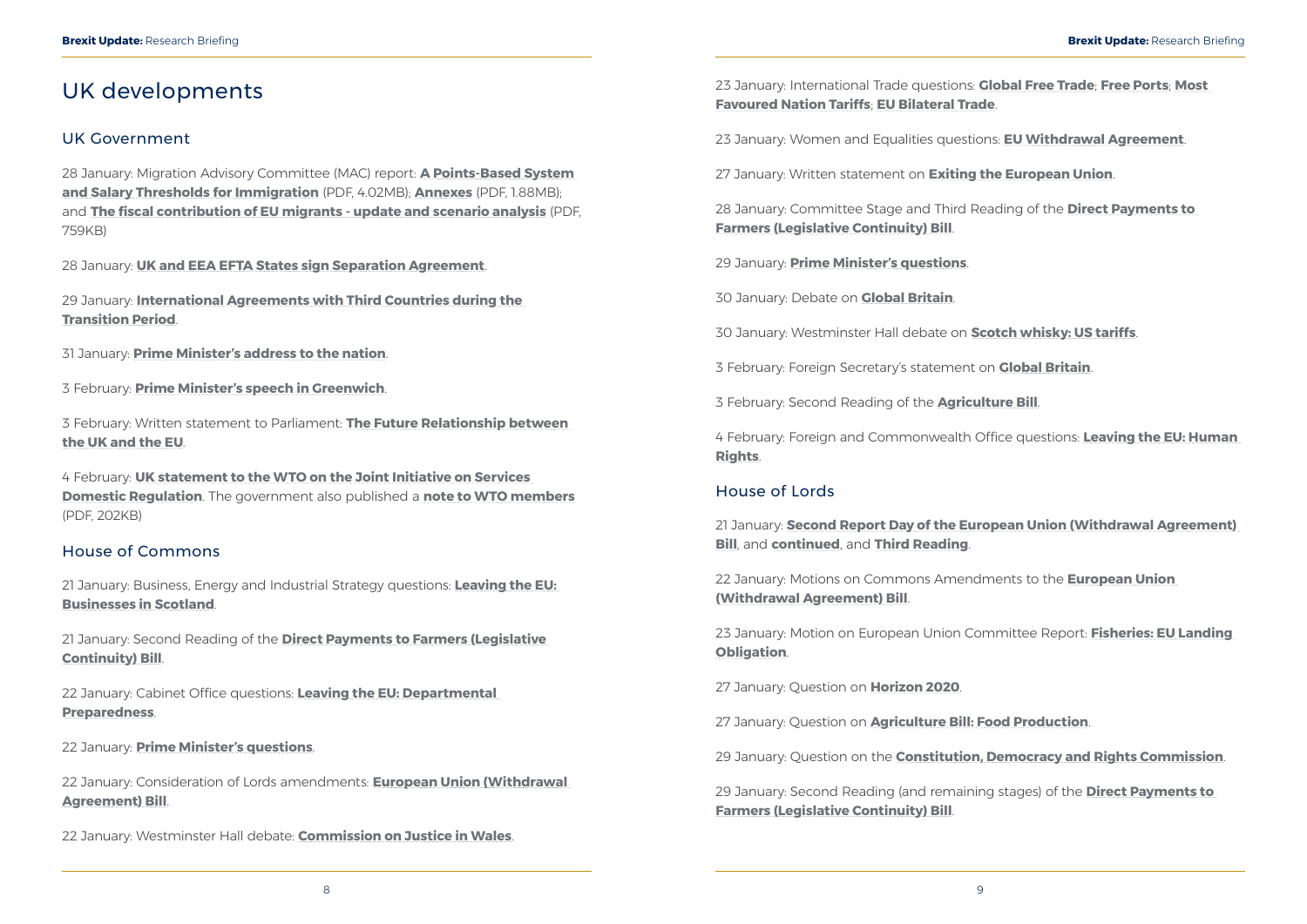## <span id="page-7-0"></span>UK developments

### UK Government

28 January: Migration Advisory Committee (MAC) report: **[A Points-Based System](https://assets.publishing.service.gov.uk/government/uploads/system/uploads/attachment_data/file/860669/PBS_and_Salary_Thresholds_Report_MAC.pdf)  [and Salary Thresholds for Immigration](https://assets.publishing.service.gov.uk/government/uploads/system/uploads/attachment_data/file/860669/PBS_and_Salary_Thresholds_Report_MAC.pdf)** (PDF, 4.02MB); **[Annexes](https://assets.publishing.service.gov.uk/government/uploads/system/uploads/attachment_data/file/860765/PBS_and_Salary_Thresholds_for_Immigration_Annexes_v.1.pdf)** (PDF, 1.88MB); and **[The fiscal contribution of EU migrants - update and scenario analysis](https://assets.publishing.service.gov.uk/government/uploads/system/uploads/attachment_data/file/861246/Oxford_Economics_-_Fiscal_Contribution_of_EU_Migrants.pdf)** (PDF, 759KB)

28 January: **[UK and EEA EFTA States sign Separation Agreement](https://www.gov.uk/government/news/uk-and-eea-efta-states-sign-separation-agreement)**.

29 January: **[International Agreements with Third Countries during the](https://www.gov.uk/government/publications/international-agreements-with-third-countries-during-the-transition-period/international-agreements-with-third-countries-during-the-transition-period)  [Transition Period](https://www.gov.uk/government/publications/international-agreements-with-third-countries-during-the-transition-period/international-agreements-with-third-countries-during-the-transition-period)**.

31 January: **[Prime Minister's address to the nation](https://www.gov.uk/government/speeches/pm-address-to-the-nation-31-january-2020)**.

3 February: **[Prime Minister's speech in Greenwich](https://www.gov.uk/government/speeches/pm-speech-in-greenwich-3-february-2020)**.

3 February: Written statement to Parliament: **[The Future Relationship between](https://www.gov.uk/government/speeches/the-future-relationship-between-the-uk-and-the-eu)  [the UK and the EU](https://www.gov.uk/government/speeches/the-future-relationship-between-the-uk-and-the-eu)**.

4 February: **[UK statement to the WTO on the Joint Initiative on Services](https://www.gov.uk/government/speeches/uk-statement-on-the-joint-initiative-on-services-domestic-regulation)  [Domestic Regulation](https://www.gov.uk/government/speeches/uk-statement-on-the-joint-initiative-on-services-domestic-regulation)**. The government also published a **[note to WTO members](https://assets.publishing.service.gov.uk/government/uploads/system/uploads/attachment_data/file/862657/200131_GC_statement_pdf.pdf)** (PDF, 202KB)

### House of Commons

21 January: Business, Energy and Industrial Strategy questions: **[Leaving the EU:](https://hansard.parliament.uk/commons/2020-01-21/debates/F25B0341-2888-464D-AFCB-EC3EB7DF3E40/LeavingTheEUBusinessesInScotland)  [Businesses in Scotland](https://hansard.parliament.uk/commons/2020-01-21/debates/F25B0341-2888-464D-AFCB-EC3EB7DF3E40/LeavingTheEUBusinessesInScotland)**.

21 January: Second Reading of the **[Direct Payments to Farmers \(Legislative](https://hansard.parliament.uk/commons/2020-01-21/debates/35DD1ED8-A9B2-47CB-B7F8-5C335D63D5ED/DirectPaymentsToFarmers(LegislativeContinuity)Bill)  [Continuity\) Bill](https://hansard.parliament.uk/commons/2020-01-21/debates/35DD1ED8-A9B2-47CB-B7F8-5C335D63D5ED/DirectPaymentsToFarmers(LegislativeContinuity)Bill)**.

22 January: Cabinet Office questions: **[Leaving the EU: Departmental](https://hansard.parliament.uk/commons/2020-01-22/debates/1F78FA0F-BEEA-4565-A86C-1725A1BEC214/LeavingTheEUDepartmentalPreparedness)  [Preparedness](https://hansard.parliament.uk/commons/2020-01-22/debates/1F78FA0F-BEEA-4565-A86C-1725A1BEC214/LeavingTheEUDepartmentalPreparedness)**.

22 January: **[Prime Minister's questions](https://hansard.parliament.uk/commons/2020-01-22/debates/6B6FAD67-CA8C-4AF2-9CC9-07F6175ABC4C/Engagements)**.

22 January: Consideration of Lords amendments: **[European Union \(Withdrawal](https://hansard.parliament.uk/commons/2020-01-22/debates/7D35E1A9-CB17-4503-A8AF-8E8E30169A95/EuropeanUnion(WithdrawalAgreement)Bill)  [Agreement\) Bill](https://hansard.parliament.uk/commons/2020-01-22/debates/7D35E1A9-CB17-4503-A8AF-8E8E30169A95/EuropeanUnion(WithdrawalAgreement)Bill)**.

22 January: Westminster Hall debate: **[Commission on Justice in Wales](https://hansard.parliament.uk/commons/2020-01-22/debates/45A32F4F-4FD7-4AE5-99B6-2780FD13082B/CommissionOnJusticeInWales)**.

23 January: International Trade questions: **[Global Free Trade](https://hansard.parliament.uk/commons/2020-01-23/debates/E8B306D7-3D54-4DA5-8C43-640DF5C0B862/GlobalFreeTrade)**; **[Free Ports](https://hansard.parliament.uk/commons/2020-01-23/debates/9D857590-4AEA-400B-AD93-66C933694579/FreePorts)**; **[Most](https://hansard.parliament.uk/commons/2020-01-23/debates/6F78AB04-ED69-445E-88F0-3500FA35DAC4/MostFavouredNationTariffs)  [Favoured Nation Tariffs](https://hansard.parliament.uk/commons/2020-01-23/debates/6F78AB04-ED69-445E-88F0-3500FA35DAC4/MostFavouredNationTariffs)**; **[EU Bilateral Trade](https://hansard.parliament.uk/commons/2020-01-23/debates/2ED13C3F-3C5C-4CA6-BD34-944ACF6B704F/EUBilateralTrade)**.

23 January: Women and Equalities questions: **[EU Withdrawal Agreement](https://hansard.parliament.uk/commons/2020-01-23/debates/ADE3844F-32E4-416B-9CA9-9FB3CCD4F27D/EUWithdrawalAgreement)**.

27 January: Written statement on **[Exiting the European Union](https://hansard.parliament.uk/commons/2020-01-27/debates/2001276000012/ExitingTheEuropeanUnion)**.

28 January: Committee Stage and Third Reading of the **[Direct Payments to](https://hansard.parliament.uk/commons/2020-01-28/debates/FDDDBA77-FC11-407C-B0CC-A5781C88C538/DirectPaymentsToFarmers(LegislativeContinuity)Bill)  [Farmers \(Legislative Continuity\) Bill](https://hansard.parliament.uk/commons/2020-01-28/debates/FDDDBA77-FC11-407C-B0CC-A5781C88C538/DirectPaymentsToFarmers(LegislativeContinuity)Bill)**.

29 January: **[Prime Minister's questions](https://hansard.parliament.uk/commons/2020-01-29/debates/821DAC2A-A644-40CF-86AE-5D8CB585640D/Engagements)**.

30 January: Debate on **[Global Britain](https://hansard.parliament.uk/commons/2020-01-30/debates/33EA2EAC-BA44-490B-93D0-11799618B342/GlobalBritain)**.

30 January: Westminster Hall debate on **[Scotch whisky: US tariffs](https://hansard.parliament.uk/commons/2020-01-30/debates/23D60AFB-94BC-4711-A273-C3B148947921/ScotchWhiskyUSTariffs)**.

3 February: Foreign Secretary's statement on **[Global Britain](https://hansard.parliament.uk/commons/2020-02-03/debates/2002039000001/GlobalBritain)**.

3 February: Second Reading of the **[Agriculture Bill](https://hansard.parliament.uk/commons/2020-02-03/debates/CD69351D-4AAC-4DAF-AF3F-911152D8C582/AgricultureBill)**.

4 February: Foreign and Commonwealth Office questions: **[Leaving the EU: Human](https://hansard.parliament.uk/commons/2020-02-04/debates/B4759B57-710D-4A6D-ACFC-FF67C15F4A42/LeavingTheEUHumanRights)  [Rights](https://hansard.parliament.uk/commons/2020-02-04/debates/B4759B57-710D-4A6D-ACFC-FF67C15F4A42/LeavingTheEUHumanRights)**.

### House of Lords

21 January: **[Second Report Day of the European Union \(Withdrawal Agreement\)](https://hansard.parliament.uk/Lords/2020-01-21/debates/EE4D93F9-2E96-4491-B70E-10EF7A648601/EuropeanUnion(WithdrawalAgreement)Bill)  [Bill](https://hansard.parliament.uk/Lords/2020-01-21/debates/EE4D93F9-2E96-4491-B70E-10EF7A648601/EuropeanUnion(WithdrawalAgreement)Bill)**, and **[continued](https://hansard.parliament.uk/Lords/2020-01-21/debates/0B422782-6258-4FF1-B915-3BA5D6A494A8/EuropeanUnion(WithdrawalAgreement)Bill)**, and **[Third Reading](https://hansard.parliament.uk/Lords/2020-01-21/debates/84B94A0E-5545-44CD-8055-32CE232201FC/EuropeanUnion(WithdrawalAgreement)Bill)**.

22 January: Motions on Commons Amendments to the **[European Union](https://hansard.parliament.uk/Lords/2020-01-22/debates/09CDAC60-2C06-47CB-A373-99C52693E758/EuropeanUnion(WithdrawalAgreement)Bill)  [\(Withdrawal Agreement\) Bill](https://hansard.parliament.uk/Lords/2020-01-22/debates/09CDAC60-2C06-47CB-A373-99C52693E758/EuropeanUnion(WithdrawalAgreement)Bill)**.

23 January: Motion on European Union Committee Report: **[Fisheries: EU Landing](https://hansard.parliament.uk/Lords/2020-01-23/debates/DE9A2DB4-EA5C-4367-8541-C10C9892C132/FisheriesEULandingObligation(EuropeanUnionCommitteeReport))  [Obligation](https://hansard.parliament.uk/Lords/2020-01-23/debates/DE9A2DB4-EA5C-4367-8541-C10C9892C132/FisheriesEULandingObligation(EuropeanUnionCommitteeReport))**.

27 January: Question on **[Horizon 2020](https://hansard.parliament.uk/lords/2020-01-27/debates/14B8215C-D451-4C78-87E6-698E2832C52B/Horizon2020)**.

27 January: Question on **[Agriculture Bill: Food Production](https://hansard.parliament.uk/lords/2020-01-27/debates/854E4999-C513-4B3D-B3F5-225EFB8FA041/AgricultureBillFoodProduction)**.

29 January: Question on the **[Constitution, Democracy and Rights Commission](https://hansard.parliament.uk/lords/2020-01-29/debates/9EC67443-7793-4F95-BFB9-8AC2D673CE65/ConstitutionDemocracyAndRightsCommission)**.

29 January: Second Reading (and remaining stages) of the **[Direct Payments to](https://hansard.parliament.uk/lords/2020-01-29/debates/9E6F8C35-7A2E-4853-8A6C-6278D54F3C26/DirectPaymentsToFarmers(LegislativeContinuity)Bill)  [Farmers \(Legislative Continuity\) Bill](https://hansard.parliament.uk/lords/2020-01-29/debates/9E6F8C35-7A2E-4853-8A6C-6278D54F3C26/DirectPaymentsToFarmers(LegislativeContinuity)Bill)**.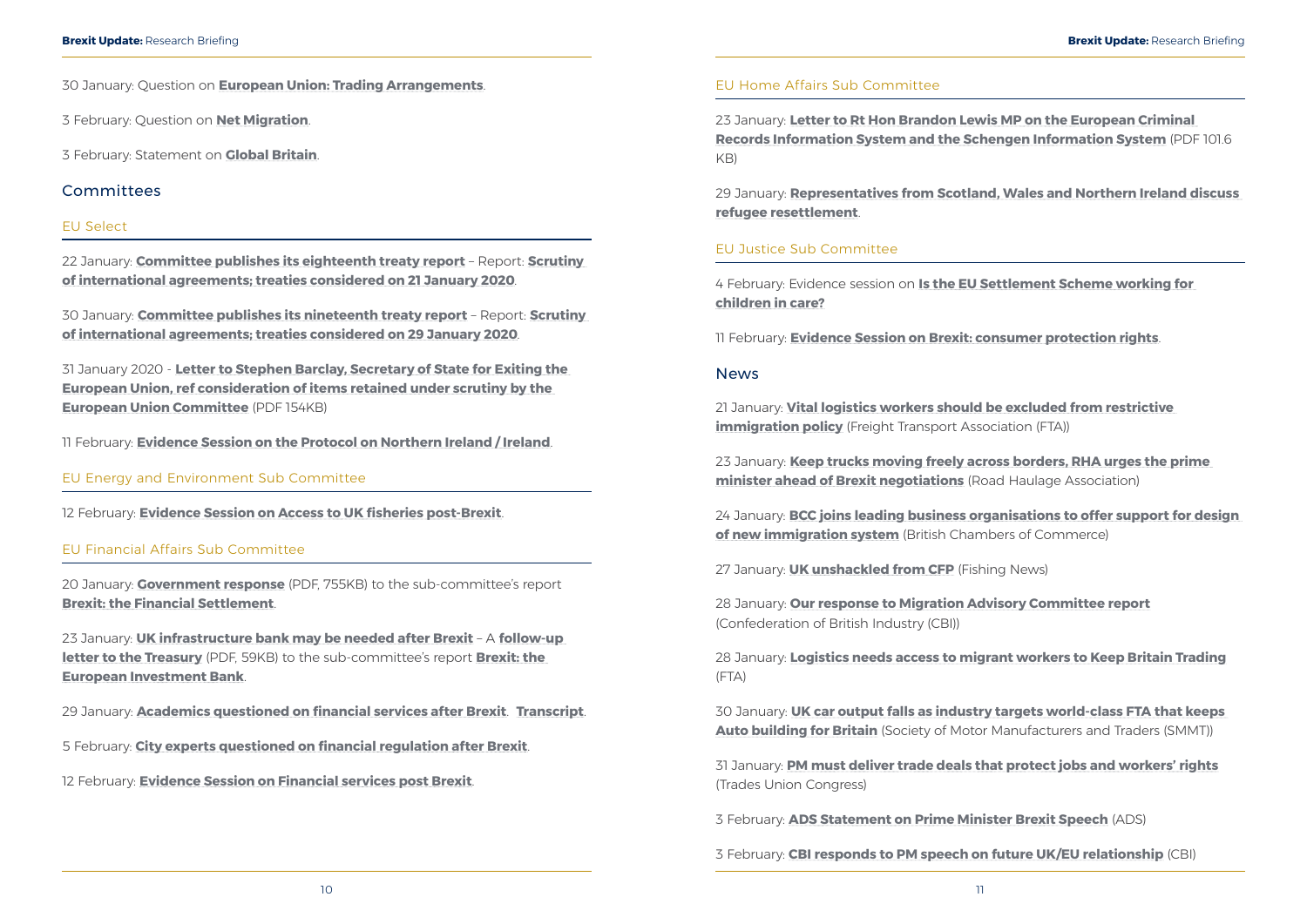<span id="page-8-0"></span>30 January: Question on **[European Union: Trading Arrangements](https://hansard.parliament.uk/lords/2020-01-30/debates/D091C8CA-1CAB-4AF0-8580-3CAB9F59B0DB/EuropeanUnionTradingArrangements)**.

3 February: Question on **[Net Migration](https://hansard.parliament.uk/Lords/2020-02-03/debates/A412C3CE-D62E-49B3-9A76-F7AD64055D4C/NetMigration)**.

3 February: Statement on **[Global Britain](https://hansard.parliament.uk/Lords/2020-02-03/debates/B0CE3013-CA0B-40B0-AB12-A6EA9340CEA7/GlobalBritain)**.

#### Committees

#### EU Select

22 January: **[Committee publishes its eighteenth treaty report](https://www.parliament.uk/business/committees/committees-a-z/lords-select/eu-select-committee-/news-parliament-2019/eighteenth-international-agreements-report/)** – Report: **[Scrutiny](https://publications.parliament.uk/pa/ld5801/ldselect/ldeucom/9/902.htm)  [of international agreements; treaties considered on 21 January 2020](https://publications.parliament.uk/pa/ld5801/ldselect/ldeucom/9/902.htm)**.

30 January: **[Committee publishes its nineteenth treaty report](https://www.parliament.uk/business/committees/committees-a-z/lords-select/eu-select-committee-/news-parliament-2019/nineteenth-international-agreements-report/)** – Report: **[Scrutiny](https://publications.parliament.uk/pa/ld5801/ldselect/ldeucom/12/1202.htm)  [of international agreements; treaties considered on 29 January 2020](https://publications.parliament.uk/pa/ld5801/ldselect/ldeucom/12/1202.htm)**.

31 January 2020 - **[Letter to Stephen Barclay, Secretary of State for Exiting the](https://www.parliament.uk/documents/lords-committees/eu-select/scrutiny%20work/clearance-letter-stephen-barclay.pdf)  [European Union, ref consideration of items retained under scrutiny by the](https://www.parliament.uk/documents/lords-committees/eu-select/scrutiny%20work/clearance-letter-stephen-barclay.pdf)  [European Union Committee](https://www.parliament.uk/documents/lords-committees/eu-select/scrutiny%20work/clearance-letter-stephen-barclay.pdf)** (PDF 154KB)

11 February: **[Evidence Session on the Protocol on Northern Ireland / Ireland](https://www.parliament.uk/business/committees/committees-a-z/lords-select/eu-select-committee-/)**.

EU Energy and Environment Sub Committee

12 February: **[Evidence Session on Access to UK fisheries post-Brexit](https://www.parliament.uk/business/committees/committees-a-z/lords-select/eu-energy-environment-subcommittee/)**.

#### EU Financial Affairs Sub Committee

21 January: **[Vital logistics workers should be excluded from restrictive](https://fta.co.uk/media/press-releases/2020/january-2020/vital-logistics-workers-should-be-excluded-from-re)  [immigration policy](https://fta.co.uk/media/press-releases/2020/january-2020/vital-logistics-workers-should-be-excluded-from-re)** (Freight Transport Association (FTA))

20 January: **[Government response](https://www.parliament.uk/documents/lords-committees/eu-financial-affairs-subcommittee/no-deal-financial-obligations/govt-response-financial-settlement.pdf)** (PDF, 755KB) to the sub-committee's report **[Brexit: the Financial Settlement](https://publications.parliament.uk/pa/ld201919/ldselect/ldeucom/7/702.htm)**.

23 January: **[UK infrastructure bank may be needed after Brexit](https://www.parliament.uk/business/committees/committees-a-z/lords-select/eu-financial-affairs-subcommittee/news-parliament-2019/eib-follow-up-letter-220120/)** – A **[follow-up](https://www.parliament.uk/documents/lords-committees/eu-financial-affairs-subcommittee/brexit-european-investment-bank/Lord-Sharkey-to-XST–Follow-up-letter-on-EIB-report-230120.pdf)  [letter to the Treasury](https://www.parliament.uk/documents/lords-committees/eu-financial-affairs-subcommittee/brexit-european-investment-bank/Lord-Sharkey-to-XST–Follow-up-letter-on-EIB-report-230120.pdf)** (PDF, 59KB) to the sub-committee's report **[Brexit: the](https://publications.parliament.uk/pa/ld201719/ldselect/ldeucom/269/26902.htm)  [European Investment Bank](https://publications.parliament.uk/pa/ld201719/ldselect/ldeucom/269/26902.htm)**.

29 January: **[Academics questioned on financial services after Brexit](https://www.parliament.uk/business/committees/committees-a-z/lords-select/eu-financial-affairs-subcommittee/news-parliament-2019/moloney-miles-evidence-290120/)**. **[Transcript](https://www.parliament.uk/documents/lords-committees/eu-financial-affairs-subcommittee/financial-services-after-brexit/ucEUFA290120-Moloney-and-Miles.pdf)**.

5 February: **[City experts questioned on financial regulation after Brexit](https://www.parliament.uk/business/committees/committees-a-z/lords-select/eu-financial-affairs-subcommittee/news-parliament-2019/irsg-evidence-050220/)**.

12 February: **[Evidence Session on Financial services post Brexit](https://www.parliament.uk/business/committees/committees-a-z/lords-select/eu-financial-affairs-subcommittee/)**.

#### EU Home Affairs Sub Committee

23 January: **[Letter to Rt Hon Brandon Lewis MP on the European Criminal](https://www.parliament.uk/documents/lords-committees/eu-home-affairs-subcommittee/EU-security-police-cooperation/letter-from-lord-jay-to-brandon-lewis-mp-23-january-2020.pdf)  [Records Information System and the Schengen Information System](https://www.parliament.uk/documents/lords-committees/eu-home-affairs-subcommittee/EU-security-police-cooperation/letter-from-lord-jay-to-brandon-lewis-mp-23-january-2020.pdf)** (PDF 101.6 KB)

29 January: **[Representatives from Scotland, Wales and Northern Ireland discuss](https://www.parliament.uk/business/committees/committees-a-z/lords-select/eu-home-affairs-subcommittee/news-parliament-2019/representatives-from-nations-evidence/)  [refugee resettlement](https://www.parliament.uk/business/committees/committees-a-z/lords-select/eu-home-affairs-subcommittee/news-parliament-2019/representatives-from-nations-evidence/)**.

#### EU Justice Sub Committee

4 February: Evidence session on **[Is the EU Settlement Scheme working for](https://www.parliament.uk/business/committees/committees-a-z/lords-select/eu-justice-subcommittee/news-parliament-2019/euss-children-in-care040220/)  [children in care?](https://www.parliament.uk/business/committees/committees-a-z/lords-select/eu-justice-subcommittee/news-parliament-2019/euss-children-in-care040220/)**

11 February: **[Evidence Session on Brexit: consumer protection rights](https://www.parliament.uk/business/committees/committees-a-z/lords-select/eu-justice-subcommittee/)**.

#### News

23 January: **[Keep trucks moving freely across borders, RHA urges the prime](https://www.rha.uk.net/news/press-releases/2020-01-january/keep-trucks-moving-freely-across-borders-rha-urges-the-prime-minister-ahead-of-brexit-negotiations)  [minister ahead of Brexit negotiations](https://www.rha.uk.net/news/press-releases/2020-01-january/keep-trucks-moving-freely-across-borders-rha-urges-the-prime-minister-ahead-of-brexit-negotiations)** (Road Haulage Association)

24 January: **[BCC joins leading business organisations to offer support for design](https://www.britishchambers.org.uk/news/2020/01/bcc-joins-leading-business-organisations-to-offer-government-help-designing-a-new-immigration-system)  [of new immigration system](https://www.britishchambers.org.uk/news/2020/01/bcc-joins-leading-business-organisations-to-offer-government-help-designing-a-new-immigration-system)** (British Chambers of Commerce)

27 January: **[UK unshackled from CFP](https://fishingnews.co.uk/news/uk-unshackled-from-cfp/)** (Fishing News)

28 January: **[Our response to Migration Advisory Committee report](https://www.cbi.org.uk/media-centre/articles/our-response-to-migration-advisory-committee-report/)** (Confederation of British Industry (CBI))

28 January: **[Logistics needs access to migrant workers to Keep Britain Trading](https://fta.co.uk/media/press-releases/2020/january-2020/logistics-needs-access-to-migrant-workers-to-keep)** (FTA)

30 January: **[UK car output falls as industry targets world-class FTA that keeps](https://www.smmt.co.uk/2020/01/uk-car-output-falls-as-industry-targets-world-class-fta-that-keeps-auto-building-for-britain/)  [Auto building for Britain](https://www.smmt.co.uk/2020/01/uk-car-output-falls-as-industry-targets-world-class-fta-that-keeps-auto-building-for-britain/)** (Society of Motor Manufacturers and Traders (SMMT))

31 January: **[PM must deliver trade deals that protect jobs and workers' rights](https://www.tuc.org.uk/news/pm-must-deliver-trade-deals-protect-jobs-and-workers-rights-says-tuc)** (Trades Union Congress)

3 February: **[ADS Statement on Prime Minister Brexit Speech](https://www.adsgroup.org.uk/news/newsroom/ads-statement-on-prime-minister-brexit-speech/)** (ADS)

3 February: **[CBI responds to PM speech on future UK/EU relationship](https://www.cbi.org.uk/media-centre/articles/cbi-response-to-pm-speech-on-future-ukeu-relationship/)** (CBI)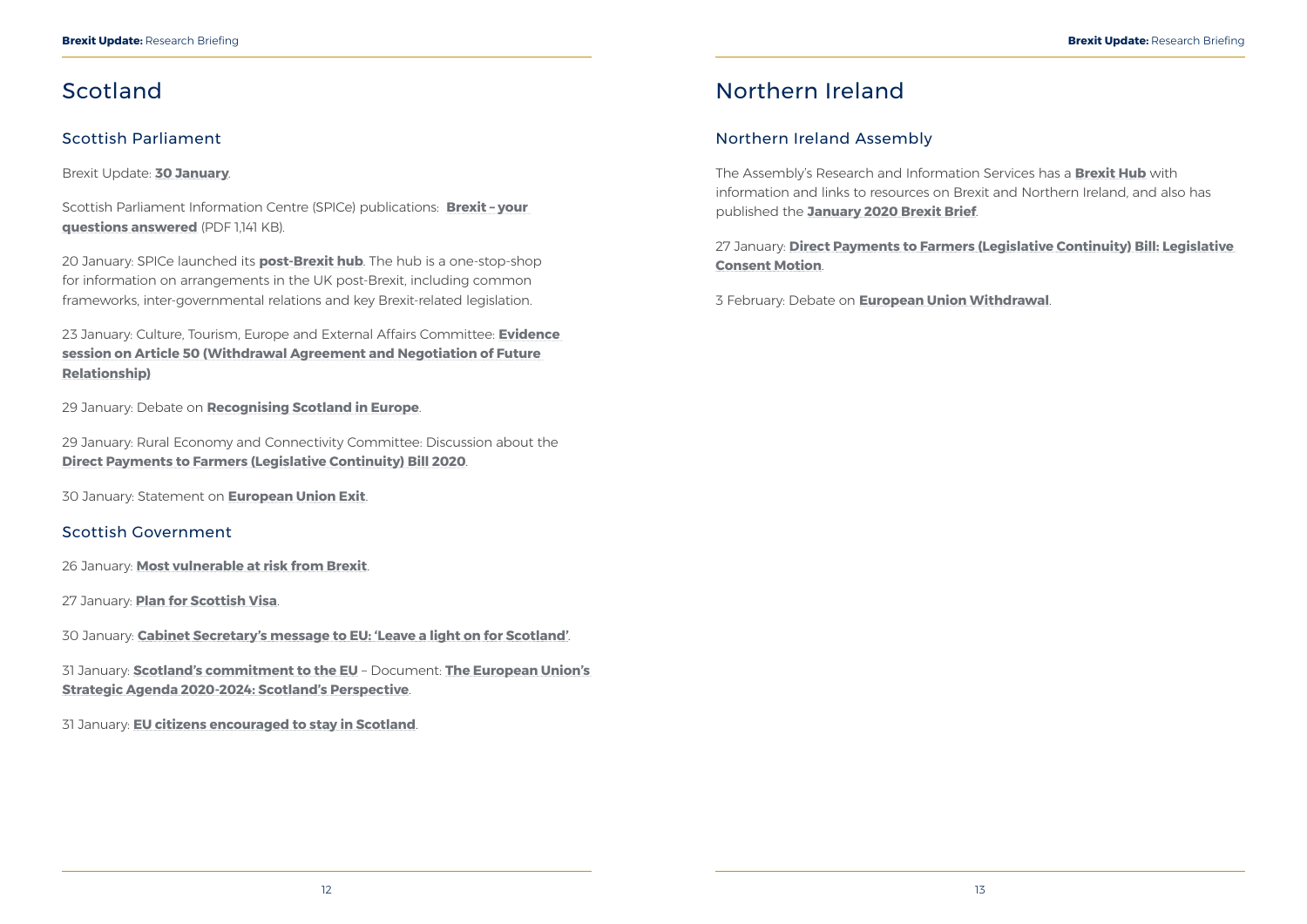## <span id="page-9-0"></span>Scotland

### Scottish Parliament

Brexit Update: **[30 January](https://www.parliament.scot/SPICeResources/Research%20briefings%20and%20fact%20sheets/SPICe_Brexit_update_2020.01.30.pdf)**.

Scottish Parliament Information Centre (SPICe) publications: **[Brexit – your](https://spice-spotlight.scot/2020/01/29/brexit-your-questions-answered/)  [questions answered](https://spice-spotlight.scot/2020/01/29/brexit-your-questions-answered/)** (PDF 1,141 KB).

20 January: SPICe launched its **[post-Brexit hub](https://scottishparliamentinformationcentre.org/)**. The hub is a one-stop-shop for information on arrangements in the UK post-Brexit, including common frameworks, inter-governmental relations and key Brexit-related legislation.

23 January: Culture, Tourism, Europe and External Affairs Committee: **[Evidence](http://www.parliament.scot/parliamentarybusiness/report.aspx?r=12483&i=112842)  [session on Article 50 \(Withdrawal Agreement and Negotiation of Future](http://www.parliament.scot/parliamentarybusiness/report.aspx?r=12483&i=112842)  [Relationship\)](http://www.parliament.scot/parliamentarybusiness/report.aspx?r=12483&i=112842)**

29 January: Debate on **[Recognising Scotland in Europe](http://www.parliament.scot/parliamentarybusiness/report.aspx?r=12488&i=112872)**.

29 January: Rural Economy and Connectivity Committee: Discussion about the **[Direct Payments to Farmers \(Legislative Continuity\) Bill 2020](http://www.parliament.scot/parliamentarybusiness/report.aspx?r=12493&i=112952)**.

30 January: Statement on **[European Union Exit](http://www.parliament.scot/parliamentarybusiness/report.aspx?r=12490&i=112943)**.

### Scottish Government

26 January: **[Most vulnerable at risk from Brexit](https://www.gov.scot/news/most-vulnerable-at-risk-from-brexit/)**.

27 January: **[Plan for Scottish Visa](https://www.gov.scot/news/plan-for-scottish-visa/)**.

30 January: **[Cabinet Secretary's message to EU: 'Leave a light on for Scotland'](https://www.gov.scot/news/cabinet-secretarys-message-to-eu-leave-a-light-on-for-scotland/)**.

31 January: **[Scotland's commitment to the EU](https://www.gov.scot/news/scotlands-commitment-to-the-eu-1/)** – Document: **[The European Union's](https://www.gov.scot/publications/european-unions-strategic-agenda-2020-24-scotlands-perspective/)  [Strategic Agenda 2020-2024: Scotland's Perspective](https://www.gov.scot/publications/european-unions-strategic-agenda-2020-24-scotlands-perspective/)**.

31 January: **[EU citizens encouraged to stay in Scotland](https://www.gov.scot/news/eu-citizens-encouraged-to-stay-in-scotland/)**.

## Northern Ireland

### Northern Ireland Assembly

The Assembly's Research and Information Services has a **[Brexit Hub](http://www.niassembly.gov.uk/assembly-business/research-and-information-service-raise/brexit-and-ni/)** with information and links to resources on Brexit and Northern Ireland, and also has published the **[January 2020 Brexit Brief](http://www.niassembly.gov.uk/globalassets/documents/brexit-brief/brexit-brief-2020-01.pdf)**.

27 January: **[Direct Payments to Farmers \(Legislative Continuity\) Bill: Legislative](http://aims.niassembly.gov.uk/officialreport/report.aspx?&eveDate=2020/01/27&docID=291486)  [Consent Motion](http://aims.niassembly.gov.uk/officialreport/report.aspx?&eveDate=2020/01/27&docID=291486)**.

3 February: Debate on **[European Union Withdrawal](http://aims.niassembly.gov.uk/officialreport/report.aspx?&eveDate=2020/02/03&docID=292480)**.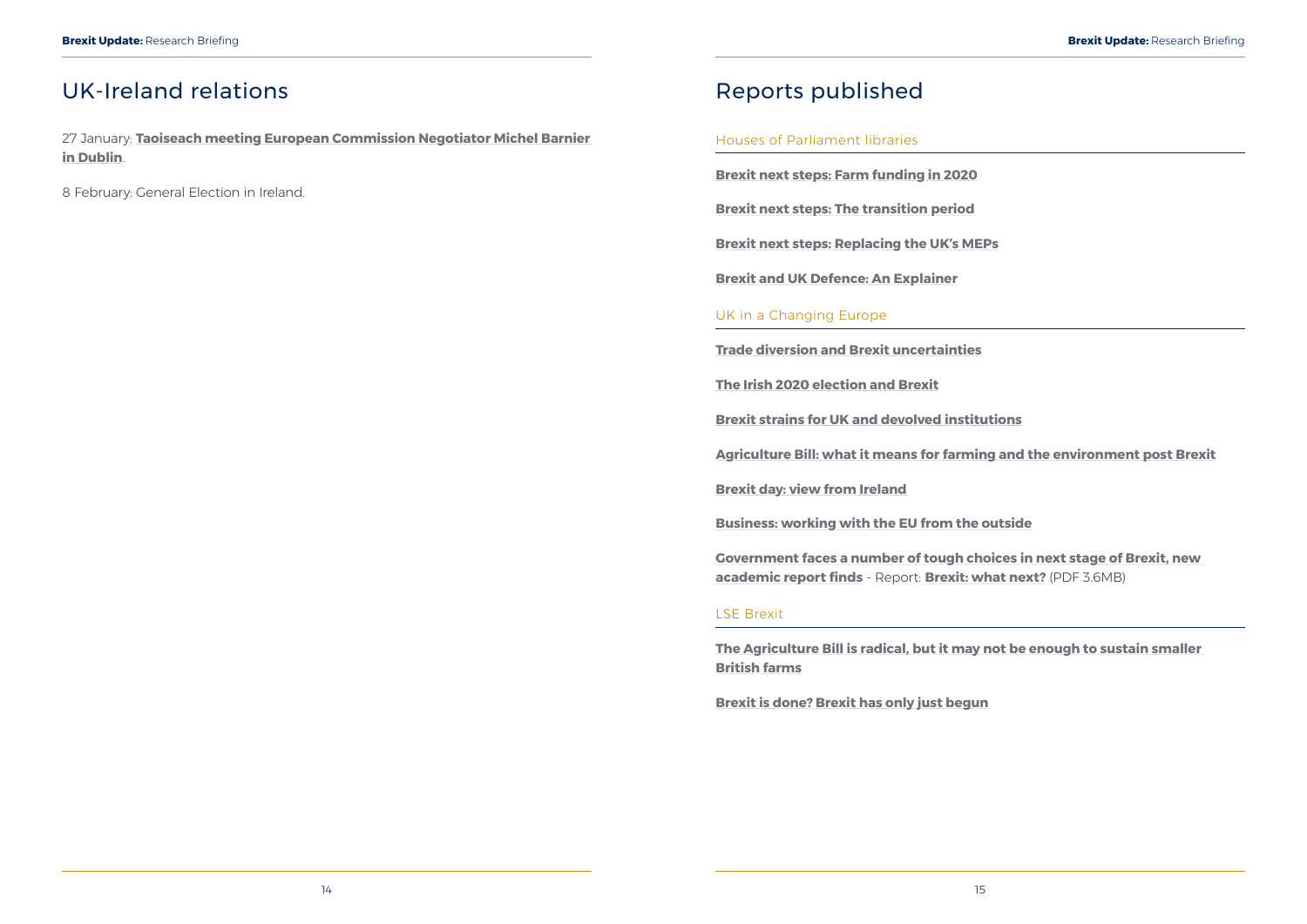## <span id="page-10-0"></span>UK-Ireland relations

27 January: **[Taoiseach meeting European Commission Negotiator Michel Barnier](https://merrionstreet.ie/en/News-Room/News/Taoiseach_meeting_European_Commission_Negotiator_Michel_Barnier_in_Dublin.html)  [in Dublin](https://merrionstreet.ie/en/News-Room/News/Taoiseach_meeting_European_Commission_Negotiator_Michel_Barnier_in_Dublin.html)**.

8 February: General Election in Ireland.

## Reports published

#### Houses of Parliament libraries

**[Brexit next steps: Farm funding in 2020](https://commonslibrary.parliament.uk/brexit/the-eu/brexit-next-steps-farm-funding-in-2020/)**

**[Brexit next steps: The transition period](https://commonslibrary.parliament.uk/brexit/negotiations/brexit-next-steps-the-transition-period/)**

**[Brexit next steps: Replacing the UK's MEPs](https://commonslibrary.parliament.uk/brexit/brexit-next-steps-replacing-the-uks-meps/)**

**[Brexit and UK Defence: An Explainer](https://researchbriefings.parliament.uk/ResearchBriefing/Summary/CBP-8676)**

#### UK in a Changing Europe

**[Trade diversion and Brexit uncertainties](https://ukandeu.ac.uk/trade-diversion-and-brexit-uncertainties/)**

**[The Irish 2020 election and Brexit](https://ukandeu.ac.uk/the-irish-2020-election-and-brexit/)**

**[Brexit strains for UK and devolved institutions](https://ukandeu.ac.uk/brexit-strains-for-uk-and-devolved-institutions/)**

**[Agriculture Bill: what it means for farming and the environment post Brexit](https://ukandeu.ac.uk/agriculture-bill-what-it-means-for-farming-and-the-environment-post-brexit/)**

**[Brexit day: view from Ireland](https://ukandeu.ac.uk/brexit-day-view-from-ireland/)**

**[Business: working with the EU from the outside](https://ukandeu.ac.uk/business-working-with-the-eu-from-the-outside/)**

**[Government faces a number of tough choices in next stage of Brexit, new](https://ukandeu.ac.uk/government-faces-a-number-of-tough-choices-in-next-stage-of-brexit-new-academic-report-finds/)  [academic report finds](https://ukandeu.ac.uk/government-faces-a-number-of-tough-choices-in-next-stage-of-brexit-new-academic-report-finds/)** - Report: **[Brexit: what next?](https://ukandeu.ac.uk/wp-content/uploads/2020/02/Brexit-what-next-report.pdf)** (PDF 3.6MB)

#### LSE Brexit

**[The Agriculture Bill is radical, but it may not be enough to sustain smaller](https://blogs.lse.ac.uk/brexit/2020/01/22/the-agriculture-bill-is-radical-but-it-may-not-be-enough-to-sustain-smaller-british-farms/)  [British farms](https://blogs.lse.ac.uk/brexit/2020/01/22/the-agriculture-bill-is-radical-but-it-may-not-be-enough-to-sustain-smaller-british-farms/)**

**[Brexit is done? Brexit has only just begun](https://blogs.lse.ac.uk/brexit/2020/01/31/brexit-is-done-brexit-has-only-just-begun/)**